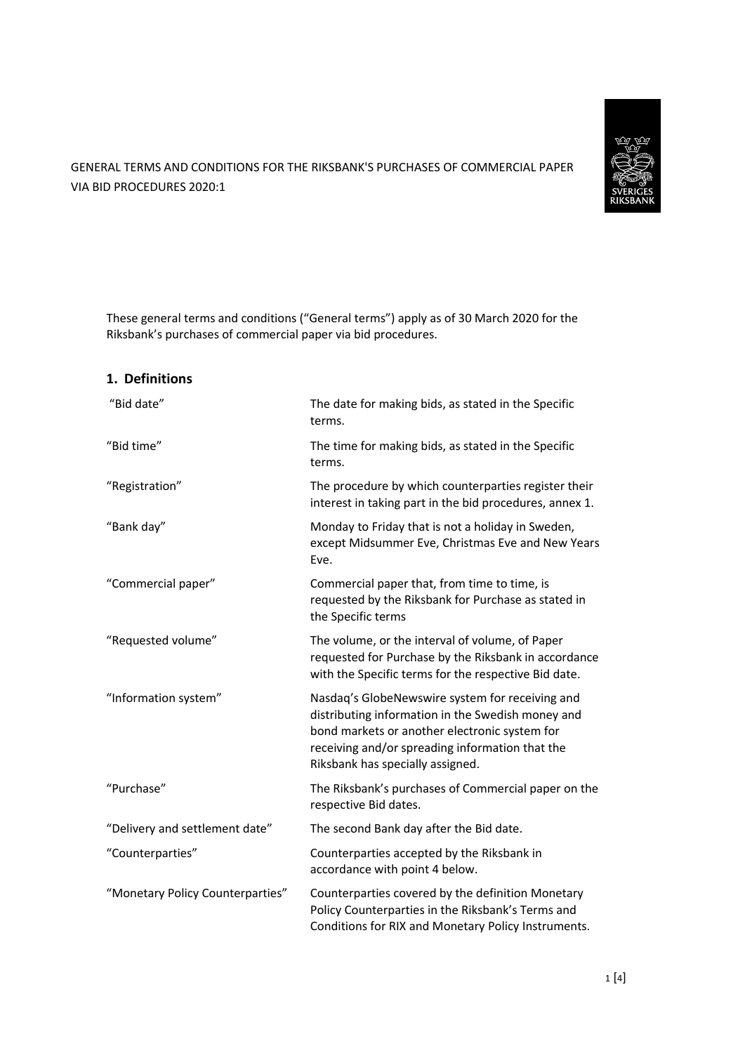

GENERAL TERMS AND CONDITIONS FOR THE RIKSBANK'S PURCHASES OF COMMERCIAL PAPER VIA BID PROCEDURES 2020:1

These general terms and conditions ("General terms") apply as of 30 March 2020 for the Riksbank's purchases of commercial paper via bid procedures.

# **1. Definitions**

| "Bid date"                       | The date for making bids, as stated in the Specific<br>terms.                                                                                                                                                                                |
|----------------------------------|----------------------------------------------------------------------------------------------------------------------------------------------------------------------------------------------------------------------------------------------|
| "Bid time"                       | The time for making bids, as stated in the Specific<br>terms.                                                                                                                                                                                |
| "Registration"                   | The procedure by which counterparties register their<br>interest in taking part in the bid procedures, annex 1.                                                                                                                              |
| "Bank day"                       | Monday to Friday that is not a holiday in Sweden,<br>except Midsummer Eve, Christmas Eve and New Years<br>Eve.                                                                                                                               |
| "Commercial paper"               | Commercial paper that, from time to time, is<br>requested by the Riksbank for Purchase as stated in<br>the Specific terms                                                                                                                    |
| "Requested volume"               | The volume, or the interval of volume, of Paper<br>requested for Purchase by the Riksbank in accordance<br>with the Specific terms for the respective Bid date.                                                                              |
| "Information system"             | Nasdaq's GlobeNewswire system for receiving and<br>distributing information in the Swedish money and<br>bond markets or another electronic system for<br>receiving and/or spreading information that the<br>Riksbank has specially assigned. |
| "Purchase"                       | The Riksbank's purchases of Commercial paper on the<br>respective Bid dates.                                                                                                                                                                 |
| "Delivery and settlement date"   | The second Bank day after the Bid date.                                                                                                                                                                                                      |
| "Counterparties"                 | Counterparties accepted by the Riksbank in<br>accordance with point 4 below.                                                                                                                                                                 |
| "Monetary Policy Counterparties" | Counterparties covered by the definition Monetary<br>Policy Counterparties in the Riksbank's Terms and<br>Conditions for RIX and Monetary Policy Instruments.                                                                                |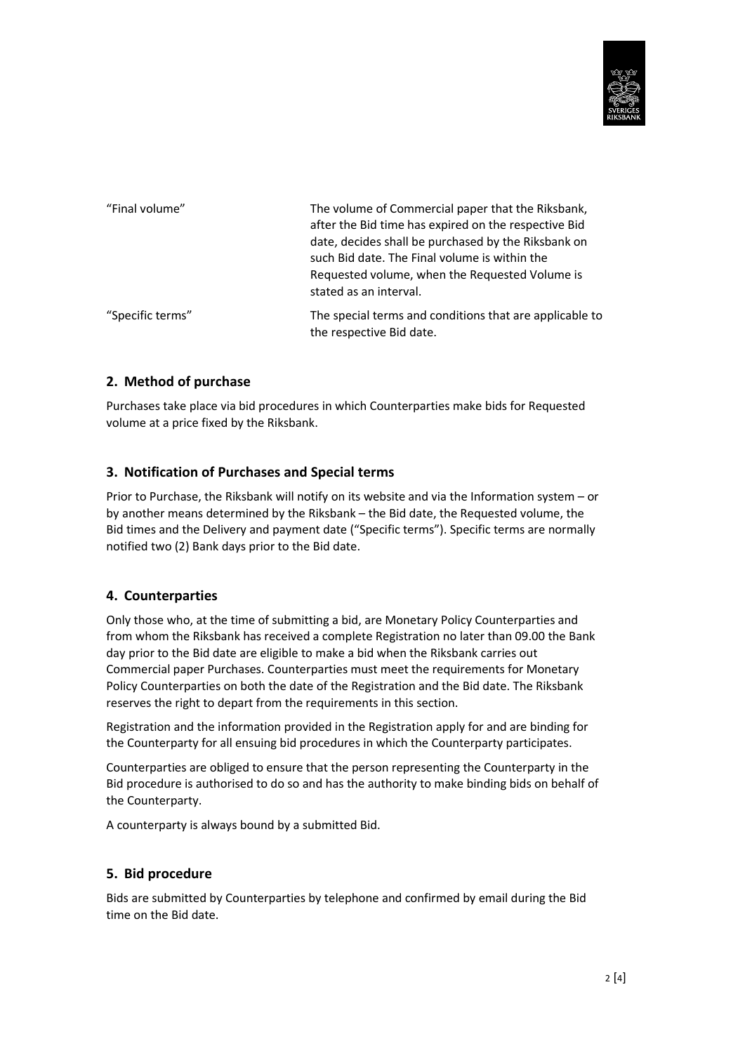

| "Final volume"   | The volume of Commercial paper that the Riksbank,<br>after the Bid time has expired on the respective Bid<br>date, decides shall be purchased by the Riksbank on<br>such Bid date. The Final volume is within the<br>Requested volume, when the Requested Volume is<br>stated as an interval. |
|------------------|-----------------------------------------------------------------------------------------------------------------------------------------------------------------------------------------------------------------------------------------------------------------------------------------------|
| "Specific terms" | The special terms and conditions that are applicable to<br>the respective Bid date.                                                                                                                                                                                                           |

## **2. Method of purchase**

Purchases take place via bid procedures in which Counterparties make bids for Requested volume at a price fixed by the Riksbank.

### **3. Notification of Purchases and Special terms**

Prior to Purchase, the Riksbank will notify on its website and via the Information system – or by another means determined by the Riksbank – the Bid date, the Requested volume, the Bid times and the Delivery and payment date ("Specific terms"). Specific terms are normally notified two (2) Bank days prior to the Bid date.

### **4. Counterparties**

Only those who, at the time of submitting a bid, are Monetary Policy Counterparties and from whom the Riksbank has received a complete Registration no later than 09.00 the Bank day prior to the Bid date are eligible to make a bid when the Riksbank carries out Commercial paper Purchases. Counterparties must meet the requirements for Monetary Policy Counterparties on both the date of the Registration and the Bid date. The Riksbank reserves the right to depart from the requirements in this section.

Registration and the information provided in the Registration apply for and are binding for the Counterparty for all ensuing bid procedures in which the Counterparty participates.

Counterparties are obliged to ensure that the person representing the Counterparty in the Bid procedure is authorised to do so and has the authority to make binding bids on behalf of the Counterparty.

A counterparty is always bound by a submitted Bid.

### **5. Bid procedure**

Bids are submitted by Counterparties by telephone and confirmed by email during the Bid time on the Bid date.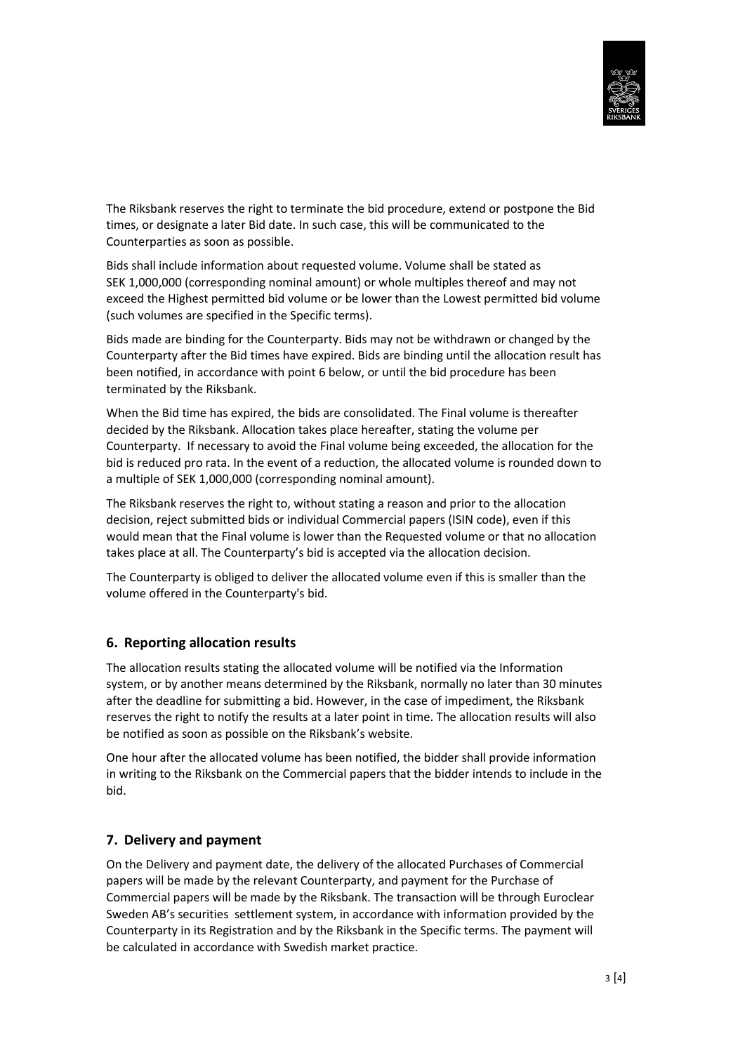

The Riksbank reserves the right to terminate the bid procedure, extend or postpone the Bid times, or designate a later Bid date. In such case, this will be communicated to the Counterparties as soon as possible.

Bids shall include information about requested volume. Volume shall be stated as SEK 1,000,000 (corresponding nominal amount) or whole multiples thereof and may not exceed the Highest permitted bid volume or be lower than the Lowest permitted bid volume (such volumes are specified in the Specific terms).

Bids made are binding for the Counterparty. Bids may not be withdrawn or changed by the Counterparty after the Bid times have expired. Bids are binding until the allocation result has been notified, in accordance with point 6 below, or until the bid procedure has been terminated by the Riksbank.

When the Bid time has expired, the bids are consolidated. The Final volume is thereafter decided by the Riksbank. Allocation takes place hereafter, stating the volume per Counterparty. If necessary to avoid the Final volume being exceeded, the allocation for the bid is reduced pro rata. In the event of a reduction, the allocated volume is rounded down to a multiple of SEK 1,000,000 (corresponding nominal amount).

The Riksbank reserves the right to, without stating a reason and prior to the allocation decision, reject submitted bids or individual Commercial papers (ISIN code), even if this would mean that the Final volume is lower than the Requested volume or that no allocation takes place at all. The Counterparty's bid is accepted via the allocation decision.

The Counterparty is obliged to deliver the allocated volume even if this is smaller than the volume offered in the Counterparty's bid.

### **6. Reporting allocation results**

The allocation results stating the allocated volume will be notified via the Information system, or by another means determined by the Riksbank, normally no later than 30 minutes after the deadline for submitting a bid. However, in the case of impediment, the Riksbank reserves the right to notify the results at a later point in time. The allocation results will also be notified as soon as possible on the Riksbank's website.

One hour after the allocated volume has been notified, the bidder shall provide information in writing to the Riksbank on the Commercial papers that the bidder intends to include in the bid.

#### **7. Delivery and payment**

On the Delivery and payment date, the delivery of the allocated Purchases of Commercial papers will be made by the relevant Counterparty, and payment for the Purchase of Commercial papers will be made by the Riksbank. The transaction will be through Euroclear Sweden AB's securities settlement system, in accordance with information provided by the Counterparty in its Registration and by the Riksbank in the Specific terms. The payment will be calculated in accordance with Swedish market practice.